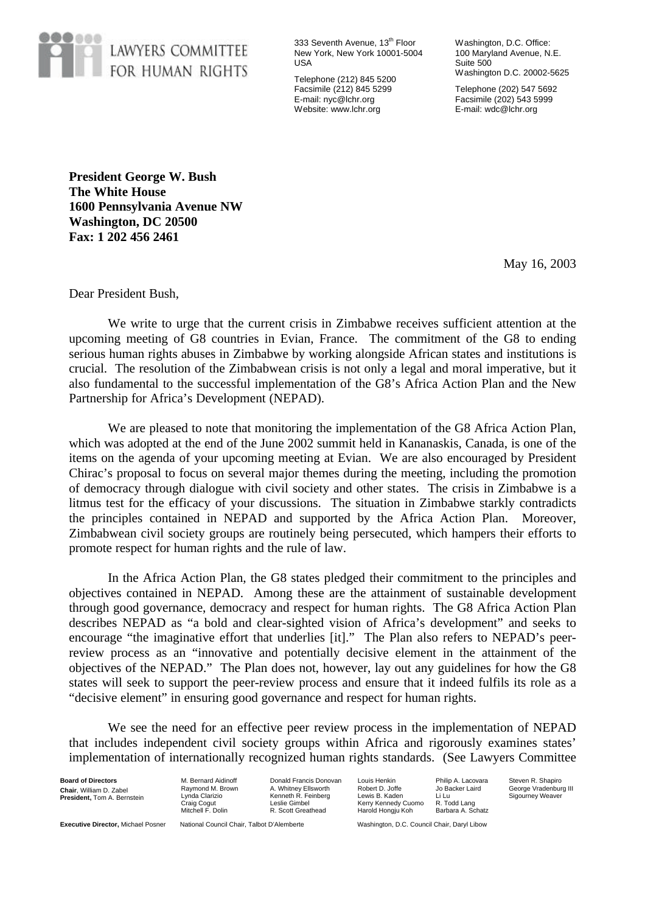

333 Seventh Avenue, 13<sup>th</sup> Floor New York, New York 10001-5004 USA

Telephone (212) 845 5200 Facsimile (212) 845 5299 E-mail: nyc@lchr.org Website: www.lchr.org

Washington, D.C. Office: 100 Maryland Avenue, N.E. Suite 500 Washington D.C. 20002-5625

Telephone (202) 547 5692 Facsimile (202) 543 5999 E-mail: wdc@lchr.org

**President George W. Bush The White House 1600 Pennsylvania Avenue NW Washington, DC 20500 Fax: 1 202 456 2461**

May 16, 2003

Dear President Bush,

We write to urge that the current crisis in Zimbabwe receives sufficient attention at the upcoming meeting of G8 countries in Evian, France. The commitment of the G8 to ending serious human rights abuses in Zimbabwe by working alongside African states and institutions is crucial. The resolution of the Zimbabwean crisis is not only a legal and moral imperative, but it also fundamental to the successful implementation of the G8's Africa Action Plan and the New Partnership for Africa's Development (NEPAD).

We are pleased to note that monitoring the implementation of the G8 Africa Action Plan, which was adopted at the end of the June 2002 summit held in Kananaskis, Canada, is one of the items on the agenda of your upcoming meeting at Evian. We are also encouraged by President Chirac's proposal to focus on several major themes during the meeting, including the promotion of democracy through dialogue with civil society and other states. The crisis in Zimbabwe is a litmus test for the efficacy of your discussions. The situation in Zimbabwe starkly contradicts the principles contained in NEPAD and supported by the Africa Action Plan. Moreover, Zimbabwean civil society groups are routinely being persecuted, which hampers their efforts to promote respect for human rights and the rule of law.

In the Africa Action Plan, the G8 states pledged their commitment to the principles and objectives contained in NEPAD. Among these are the attainment of sustainable development through good governance, democracy and respect for human rights. The G8 Africa Action Plan describes NEPAD as "a bold and clear-sighted vision of Africa's development" and seeks to encourage "the imaginative effort that underlies [it]." The Plan also refers to NEPAD's peerreview process as an "innovative and potentially decisive element in the attainment of the objectives of the NEPAD." The Plan does not, however, lay out any guidelines for how the G8 states will seek to support the peer-review process and ensure that it indeed fulfils its role as a "decisive element" in ensuring good governance and respect for human rights.

We see the need for an effective peer review process in the implementation of NEPAD that includes independent civil society groups within Africa and rigorously examines states' implementation of internationally recognized human rights standards. (See Lawyers Committee

**Board of Directors Chair**, William D. Zabel **President,** Tom A. Bernstein M. Bernard Aidinoff Raymond M. Brown Lynda Clarizio raig Cogut Mitchell F. Dolin

Donald Francis Donovan A. Whitney Ellsworth Kenneth R. Feinberg Leslie Gimbel R. Scott Greathead

Louis Henkin Robert D. Joffe Lewis B. Kaden Kerry Kennedy Cuomo Harold Hongju Koh

Philip A. Lacovara Jo Backer Laird Li Lu R. Todd Lang Barbara A. Schatz Steven R. Shapiro George Vradenburg III Sigourney Weaver

**Executive Director,** Michael Posner National Council Chair, Talbot D'Alemberte Washington, D.C. Council Chair, Daryl Libow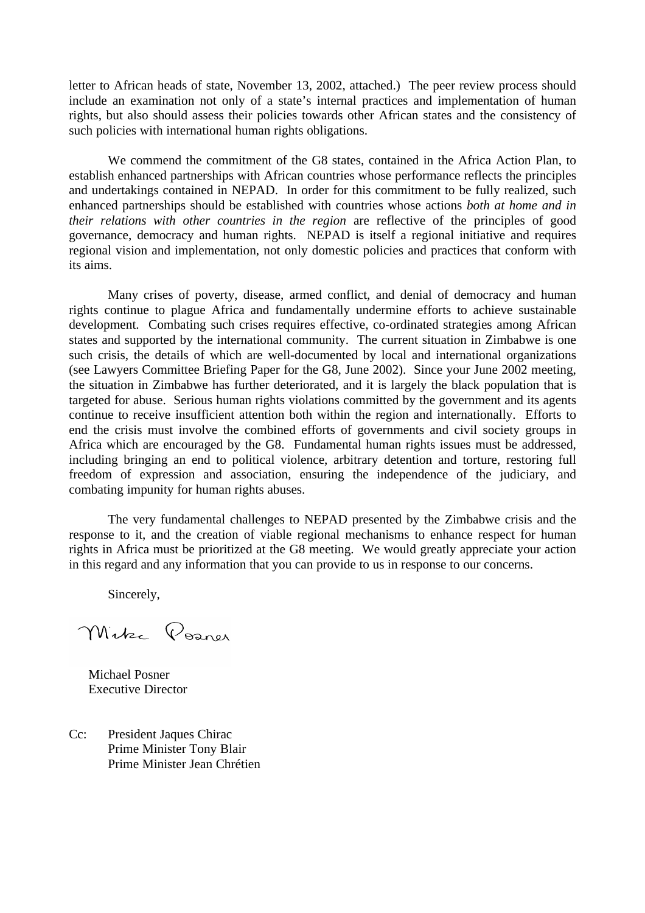letter to African heads of state, November 13, 2002, attached.) The peer review process should include an examination not only of a state's internal practices and implementation of human rights, but also should assess their policies towards other African states and the consistency of such policies with international human rights obligations.

We commend the commitment of the G8 states, contained in the Africa Action Plan, to establish enhanced partnerships with African countries whose performance reflects the principles and undertakings contained in NEPAD. In order for this commitment to be fully realized, such enhanced partnerships should be established with countries whose actions *both at home and in their relations with other countries in the region* are reflective of the principles of good governance, democracy and human rights. NEPAD is itself a regional initiative and requires regional vision and implementation, not only domestic policies and practices that conform with its aims.

Many crises of poverty, disease, armed conflict, and denial of democracy and human rights continue to plague Africa and fundamentally undermine efforts to achieve sustainable development. Combating such crises requires effective, co-ordinated strategies among African states and supported by the international community. The current situation in Zimbabwe is one such crisis, the details of which are well-documented by local and international organizations (see Lawyers Committee Briefing Paper for the G8, June 2002). Since your June 2002 meeting, the situation in Zimbabwe has further deteriorated, and it is largely the black population that is targeted for abuse. Serious human rights violations committed by the government and its agents continue to receive insufficient attention both within the region and internationally. Efforts to end the crisis must involve the combined efforts of governments and civil society groups in Africa which are encouraged by the G8. Fundamental human rights issues must be addressed, including bringing an end to political violence, arbitrary detention and torture, restoring full freedom of expression and association, ensuring the independence of the judiciary, and combating impunity for human rights abuses.

The very fundamental challenges to NEPAD presented by the Zimbabwe crisis and the response to it, and the creation of viable regional mechanisms to enhance respect for human rights in Africa must be prioritized at the G8 meeting. We would greatly appreciate your action in this regard and any information that you can provide to us in response to our concerns.

Sincerely,

Mike Posner

Michael Posner Executive Director

Cc: President Jaques Chirac Prime Minister Tony Blair Prime Minister Jean Chrétien